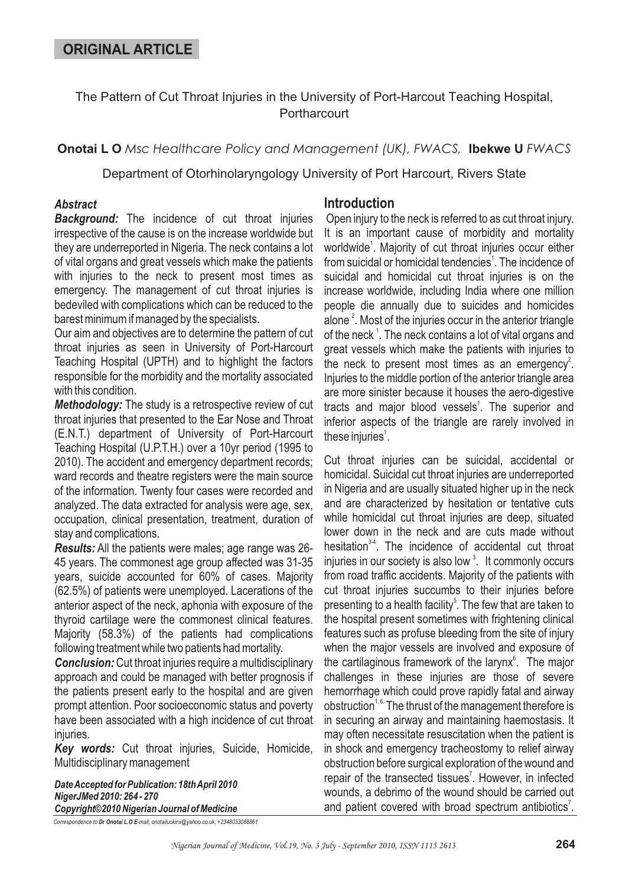The Pattern of Cut Throat Injuries in the University of Port-Harcout Teaching Hospital, **Portharcourt** 

**Onotai L O** *Msc Healthcare Policy and Management (UK), FWACS, lbekwe U FWACS* 

Department of Otorhinolaryngology University of Port Harcourt, Rivers State

### *Abstract*

*Background:* The incidence of cut throat injuries irrespective of the cause is on the increase worldwide but they are underreported in Nigeria. The neck contains a lot of vital organs and great vessels which make the patients with injuries to the neck to present most times as emergency. The management of cut throat injuries is bedeviled with complications which can be reduced to the barest minimum if managed by the specialists.

Our aim and objectives are to determine the pattern of cut throat injuries as seen in University of Port-Harcourt Teaching Hospital (UPTH) and to highlight the factors responsible for the morbidity and the mortality associated with this condition.

*Methodology:* The study is a retrospective review of cut throat injuries that presented to the Ear Nose and Throat (E.N.T.) department of University of Port-Harcourt Teaching Hospital (U.P.T.H.) over a 10yr period (1995 to 2010). The accident and emergency department records; ward records and theatre registers were the main source of the information. Twenty four cases were recorded and analyzed. The data extracted for analysis were age, sex, occupation, clinical presentation, treatment, duration of stay and complications.

Results: All the patients were males; age range was 26-45 years. The commonest age group affected was 31-35 years, suicide accounted for 60% of cases. Majority (62.5%) of patients were unemployed. Lacerations of the anterior aspect of the neck, aphonia with exposure of the thyroid cartilage were the commonest clinical features. Majority (58.3%) of the patients had complications following treatment while two patients had mortality.

**Conclusion:** Cut throat injuries require a multidisciplinary approach and could be managed with better prognosis if the patients present early to the hospital and are given prompt attention. Poor socioeconomic status and poverty have been associated with a high incidence of cut throat iniuries.

*Key words:* Cut throat injuries, Suicide, Homicide, Multidisciplinary management

*DateAccepted for Publication: 18thApril 2010 NigerJMed 2010: 264 - 270 Copyright©2010 Nigerian Journal of Medicine*

### **Introduction**

Open injury to the neck is referred to as cut throat injury. It is an important cause of morbidity and mortality worldwide<sup>1</sup>. Majority of cut throat injuries occur either from suicidal or homicidal tendencies<sup>1</sup>. The incidence of suicidal and homicidal cut throat injuries is on the increase worldwide, including India where one million people die annually due to suicides and homicides alone  $^{2}$ . Most of the injuries occur in the anterior triangle of the neck  $^1$ . The neck contains a lot of vital organs and great vessels which make the patients with injuries to the neck to present most times as an emergency<sup>2</sup>. Injuries to the middle portion of the anterior triangle area are more sinister because it houses the aero-digestive tracts and major blood vessels<sup>1</sup>. The superior and inferior aspects of the triangle are rarely involved in these injuries $^1$ .

Cut throat injuries can be suicidal, accidental or homicidal. Suicidal cut throat injuries are underreported in Nigeria and are usually situated higher up in the neck and are characterized by hesitation or tentative cuts while homicidal cut throat injuries are deep, situated lower down in the neck and are cuts made without hesitation<sup>34</sup>. The incidence of accidental cut throat injuries in our society is also low  $3$ . It commonly occurs from road traffic accidents. Majority of the patients with cut throat injuries succumbs to their injuries before presenting to a health facility<sup>5</sup>. The few that are taken to the hospital present sometimes with frightening clinical features such as profuse bleeding from the site of injury when the major vessels are involved and exposure of the cartilaginous framework of the larynx ${}^{\circ}$ . The major challenges in these injuries are those of severe hemorrhage which could prove rapidly fatal and airway obstruction<sup>1,6.</sup> The thrust of the management therefore is in securing an airway and maintaining haemostasis. It may often necessitate resuscitation when the patient is in shock and emergency tracheostomy to relief airway obstruction before surgical exploration of the wound and repair of the transected tissues<sup>7</sup>. However, in infected wounds, a debrimo of the wound should be carried out and patient covered with broad spectrum antibiotics<sup>7</sup>.

 $\overline{\text{Correspondence to Dr \, Onotaii L.O E\text{-}mail; onotailuckinx@yahoo.co.uk, +2348033088861}$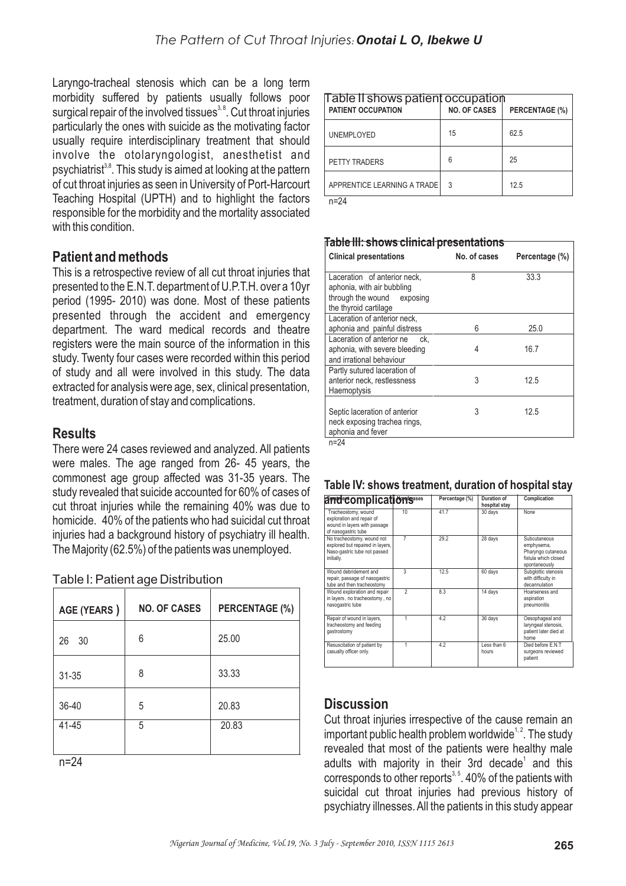Laryngo-tracheal stenosis which can be a long term morbidity suffered by patients usually follows poor surgical repair of the involved tissues<sup>3,8</sup>. Cut throat injuries particularly the ones with suicide as the motivating factor usually require interdisciplinary treatment that should involve the otolaryngologist, anesthetist and psychiatrist<sup>3,8</sup>. This study is aimed at looking at the pattern of cut throat injuries as seen in University of Port-Harcourt Teaching Hospital (UPTH) and to highlight the factors responsible for the morbidity and the mortality associated with this condition.

# **Patient and methods**

This is a retrospective review of all cut throat injuries that presented to the E.N.T. department of U.P.T.H. over a 10yr period (1995- 2010) was done. Most of these patients presented through the accident and emergency department. The ward medical records and theatre registers were the main source of the information in this study. Twenty four cases were recorded within this period of study and all were involved in this study. The data extracted for analysis were age, sex, clinical presentation, treatment, duration of stay and complications.

# **Results**

There were 24 cases reviewed and analyzed. All patients were males. The age ranged from 26- 45 years, the commonest age group affected was 31-35 years. The study revealed that suicide accounted for 60% of cases of cut throat injuries while the remaining 40% was due to homicide. 40% of the patients who had suicidal cut throat injuries had a background history of psychiatry ill health. The Majority (62.5%) of the patients was unemployed.

| AGE (YEARS) | <b>NO. OF CASES</b> | <b>PERCENTAGE (%)</b> |
|-------------|---------------------|-----------------------|
| 30<br>26    | 6                   | 25.00                 |
| $31 - 35$   | 8                   | 33.33                 |
| 36-40       | 5                   | 20.83                 |
| 41-45       | 5                   | 20.83                 |
|             |                     |                       |

Table I: Patient age Distribution

n=24

| Table II shows patient occupation<br><b>PATIENT OCCUPATION</b> | <b>NO. OF CASES</b> | PERCENTAGE (%) |
|----------------------------------------------------------------|---------------------|----------------|
| <b>UNEMPLOYED</b>                                              | 15                  | 62.5           |
| PETTY TRADERS                                                  | 6                   | 25             |
| APPRENTICE LEARNING A TRADE                                    | 3                   | 12.5           |

n=24

#### **Table III: shows clinical presentations**

| <b>Clinical presentations</b>                                                                                     | No. of cases | Percentage (%) |
|-------------------------------------------------------------------------------------------------------------------|--------------|----------------|
| Laceration of anterior neck,<br>aphonia, with air bubbling<br>through the wound exposing<br>the thyroid cartilage | 8            | 33.3           |
| Laceration of anterior neck.<br>aphonia and painful distress                                                      | 6            | 25.0           |
| Laceration of anterior ne ck.<br>aphonia, with severe bleeding<br>and irrational behaviour                        | 4            | 16.7           |
| Partly sutured laceration of<br>anterior neck, restlessness<br>Haemoptysis                                        | 3            | 12.5           |
| Septic laceration of anterior<br>neck exposing trachea rings,<br>aphonia and fever                                | 3            | 12.5           |

 $n=24$ 

#### **Table IV: shows treatment, duration of hospital stay**

| arrd complication's                                                                                          |                | Percentage (%) | Duration of<br>hospital stay | Complication                                                                              |
|--------------------------------------------------------------------------------------------------------------|----------------|----------------|------------------------------|-------------------------------------------------------------------------------------------|
| Tracheostomy, wound<br>exploration and repair of<br>wound in layers with passage<br>of nasogastric tube      | 10             | 41.7           | 30 days                      | None                                                                                      |
| No tracheostomy, wound not<br>explored but repaired in layers,<br>Naso-gastric tube not passed<br>initially. | $\overline{7}$ | 29.2           | 28 days                      | Subcutaneous<br>emphysema,<br>Pharyngo cutaneous<br>fistula which closed<br>spontaneously |
| Wound debridement and<br>repair, passage of nasogastric<br>tube and then tracheostomy                        | $\overline{3}$ | 12.5           | 60 days                      | Subglottic stenosis<br>with difficulty in<br>decannulation                                |
| Wound exploration and repair<br>in layers, no tracheostomy, no<br>nasogastric tube                           | $\mathfrak{p}$ | 8.3            | 14 days                      | Hoarseness and<br>aspiration<br>pneumonitis                                               |
| Repair of wound in layers,<br>tracheostomy and feeding<br>gastrostomy                                        |                | 4.2            | 36 days                      | Oesophageal and<br>laryngeal stenosis,<br>patient later died at<br>home                   |
| Resuscitation of patient by<br>casualty officer only.                                                        | 1              | 4.2            | Less than 6<br>hours         | Died before E.N.T<br>surgeons reviewed<br>patient                                         |

## **Discussion**

Cut throat injuries irrespective of the cause remain an important public health problem worldwide $1,2$ . The study revealed that most of the patients were healthy male adults with majority in their 3rd decade<sup>1</sup> and this corresponds to other reports $3,5$ . 40% of the patients with suicidal cut throat injuries had previous history of psychiatry illnesses. All the patients in this study appear